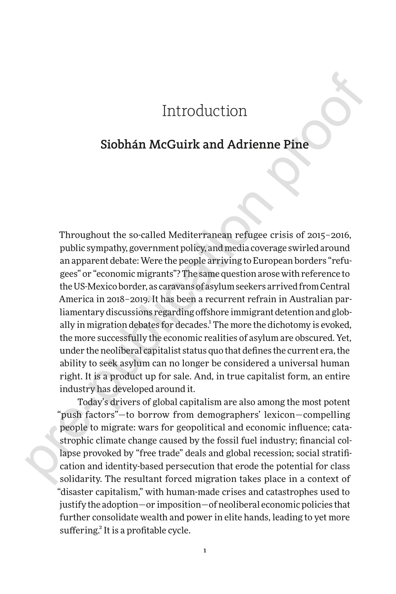# Introduction

# Siobhán McGuirk and Adrienne Pine

Introduction<br>
Siobhán McGuirk and Adrienne Pine<br>
Siobhán McGuirk and Adrienne Pine<br>
public sympathy government lobication and<br>
an apparent debate: Were the people arriving to European borders "refugees"<br>or "cconomic migra Throughout the so-called Mediterranean refugee crisis of 2015–2016, public sympathy, government policy, and media coverage swirled around an apparent debate: Were the people arriving to European borders "refugees" or "economic migrants"? The same question arose with reference to the US-Mexico border, as caravans of asylum seekers arrived from Central America in 2018–2019. It has been a recurrent refrain in Australian parliamentary discussions regarding offshore immigrant detention and globally in migration debates for decades.<sup>1</sup> The more the dichotomy is evoked, the more successfully the economic realities of asylum are obscured. Yet, under the neoliberal capitalist status quo that defines the current era, the ability to seek asylum can no longer be considered a universal human right. It is a product up for sale. And, in true capitalist form, an entire industry has developed around it.

Today's drivers of global capitalism are also among the most potent "push factors"—to borrow from demographers' lexicon—compelling people to migrate: wars for geopolitical and economic influence; catastrophic climate change caused by the fossil fuel industry; financial collapse provoked by "free trade" deals and global recession; social stratification and identity-based persecution that erode the potential for class solidarity. The resultant forced migration takes place in a context of "disaster capitalism," with human-made crises and catastrophes used to justify the adoption—or imposition—of neoliberal economic policies that further consolidate wealth and power in elite hands, leading to yet more suffering.<sup>2</sup> It is a profitable cycle.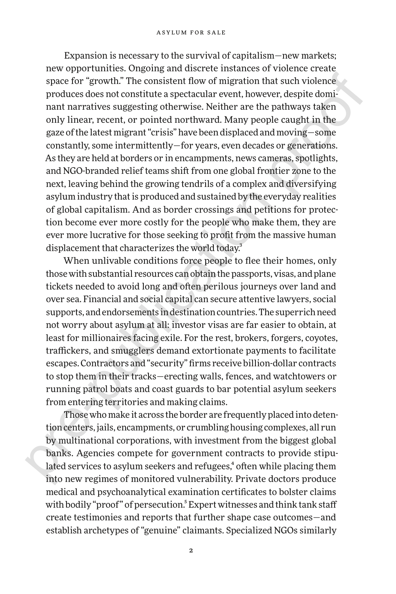new opporation. The consistent flow of migration hat such violence change approach of "growth". The consistent flow of migration hat such violence protocs one constraint narratives suggesting otherwise. Neither are the pat Expansion is necessary to the survival of capitalism—new markets; new opportunities. Ongoing and discrete instances of violence create space for "growth." The consistent flow of migration that such violence produces does not constitute a spectacular event, however, despite dominant narratives suggesting otherwise. Neither are the pathways taken only linear, recent, or pointed northward. Many people caught in the gaze of the latest migrant "crisis" have been displaced and moving—some constantly, some intermittently—for years, even decades or generations. As they are held at borders or in encampments, news cameras, spotlights, and NGO-branded relief teams shift from one global frontier zone to the next, leaving behind the growing tendrils of a complex and diversifying asylum industry that is produced and sustained by the everyday realities of global capitalism. And as border crossings and petitions for protection become ever more costly for the people who make them, they are ever more lucrative for those seeking to profit from the massive human displacement that characterizes the world today.<sup>3</sup>

When unlivable conditions force people to flee their homes, only those with substantial resources can obtain the passports, visas, and plane tickets needed to avoid long and often perilous journeys over land and over sea. Financial and social capital can secure attentive lawyers, social supports, and endorsements in destination countries. The superrich need not worry about asylum at all: investor visas are far easier to obtain, at least for millionaires facing exile. For the rest, brokers, forgers, coyotes, traffickers, and smugglers demand extortionate payments to facilitate escapes. Contractors and "security" firms receive billion-dollar contracts to stop them in their tracks—erecting walls, fences, and watchtowers or running patrol boats and coast guards to bar potential asylum seekers from entering territories and making claims.

Those who make it across the border are frequently placed into detention centers, jails, encampments, or crumbling housing complexes, all run by multinational corporations, with investment from the biggest global banks. Agencies compete for government contracts to provide stipulated services to asylum seekers and refugees,<sup>4</sup> often while placing them into new regimes of monitored vulnerability. Private doctors produce medical and psychoanalytical examination certificates to bolster claims with bodily "proof" of persecution.<sup>5</sup> Expert witnesses and think tank staff create testimonies and reports that further shape case outcomes—and establish archetypes of "genuine" claimants. Specialized NGOs similarly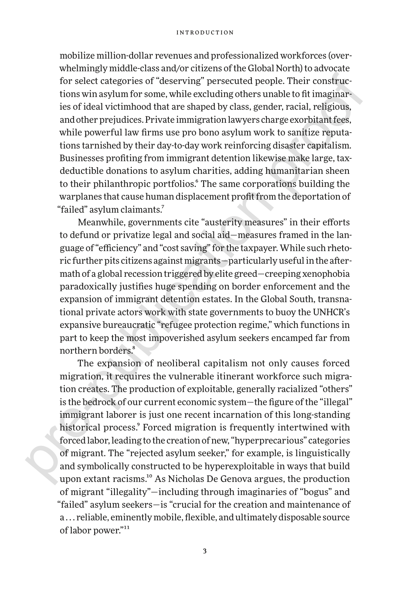meantary manner and mot one with exchalation that forces<br>in for select atagories of "deserving" persecuted people. Their construc-<br>tions with any line of the columbined of the maginary<br>is of ideal victimhood that are shape mobilize million-dollar revenues and professionalized workforces (overwhelmingly middle-class and/or citizens of the Global North) to advocate for select categories of "deserving" persecuted people. Their constructions win asylum for some, while excluding others unable to fit imaginaries of ideal victimhood that are shaped by class, gender, racial, religious, and other prejudices. Private immigration lawyers charge exorbitant fees, while powerful law firms use pro bono asylum work to sanitize reputations tarnished by their day-to-day work reinforcing disaster capitalism. Businesses profiting from immigrant detention likewise make large, taxdeductible donations to asylum charities, adding humanitarian sheen to their philanthropic portfolios. The same corporations building the warplanes that cause human displacement profit from the deportation of "failed" asylum claimants.<sup>7</sup>

Meanwhile, governments cite "austerity measures" in their efforts to defund or privatize legal and social aid—measures framed in the language of "efficiency" and "cost saving" for the taxpayer. While such rheto $ric$  further pits citizens against migrants—particularly useful in the aftermath of a global recession triggered by elite greed—creeping xenophobia paradoxically justifies huge spending on border enforcement and the expansion of immigrant detention estates. In the Global South, transnational private actors work with state governments to buoy the UNHCR's expansive bureaucratic "refugee protection regime," which functions in part to keep the most impoverished asylum seekers encamped far from northern borders.⁸

The expansion of neoliberal capitalism not only causes forced migration, it requires the vulnerable itinerant workforce such migration creates. The production of exploitable, generally racialized "others" is the bedrock of our current economic system—the figure of the "illegal" immigrant laborer is just one recent incarnation of this long-standing historical process.<sup>9</sup> Forced migration is frequently intertwined with forced labor, leading to the creation of new, "hyperprecarious" categories of migrant. The "rejected asylum seeker," for example, is linguistically and symbolically constructed to be hyperexploitable in ways that build upon extant racisms.<sup>10</sup> As Nicholas De Genova argues, the production of migrant "illegality"—including through imaginaries of "bogus" and "failed" asylum seekers—is "crucial for the creation and maintenance of a . . . reliable, eminently mobile, flexible, and ultimately disposable source of labor power."<sup>11</sup>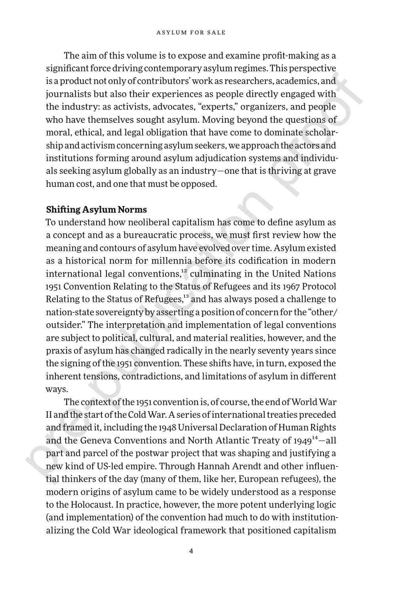The aim of this volume is to expose and examine profit-making as a significant force driving contemporary asylum regimes. This perspective is a product not only of contributors' work as researchers, academics, and journalists but also their experiences as people directly engaged with the industry: as activists, advocates, "experts," organizers, and people who have themselves sought asylum. Moving beyond the questions of moral, ethical, and legal obligation that have come to dominate scholarship and activism concerning asylum seekers, we approach the actors and institutions forming around asylum adjudication systems and individuals seeking asylum globally as an industry—one that is thriving at grave human cost, and one that must be opposed.

### **Shi!ing Asylum Norms**

ng meantworks are stayled to the species are species and particulate the presidences and<br>is a product not only of contributors' work as researchers, academics, and<br>journalists but also their experiences as people directly To understand how neoliberal capitalism has come to define asylum as a concept and as a bureaucratic process, we must first review how the meaning and contours of asylum have evolved over time. Asylum existed as a historical norm for millennia before its codification in modern international legal conventions, $12$  culminating in the United Nations 1951 Convention Relating to the Status of Refugees and its 1967 Protocol Relating to the Status of Refugees, $33$  and has always posed a challenge to nation-state sovereignty by asserting a position of concern for the "other/ outsider." The interpretation and implementation of legal conventions are subject to political, cultural, and material realities, however, and the praxis of asylum has changed radically in the nearly seventy years since the signing of the 1951 convention. These shifts have, in turn, exposed the inherent tensions, contradictions, and limitations of asylum in different ways.

The context of the 1951 convention is, of course, the end of World War II and the start of the Cold War. A series of international treaties preceded and framed it, including the 1948 Universal Declaration of Human Rights and the Geneva Conventions and North Atlantic Treaty of  $1949<sup>14</sup>$ –all part and parcel of the postwar project that was shaping and justifying a new kind of US-led empire. Through Hannah Arendt and other influential thinkers of the day (many of them, like her, European refugees), the modern origins of asylum came to be widely understood as a response to the Holocaust. In practice, however, the more potent underlying logic (and implementation) of the convention had much to do with institutionalizing the Cold War ideological framework that positioned capitalism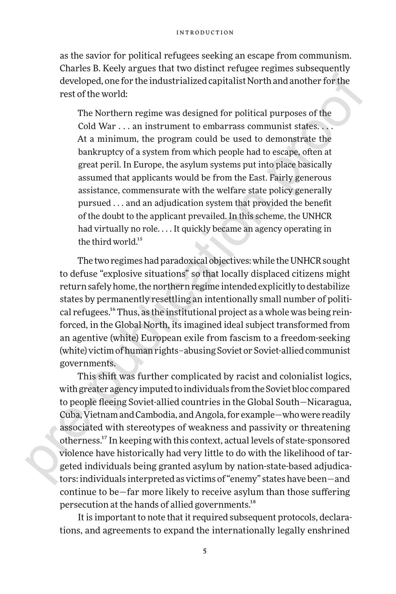as the savior for political refugees seeking an escape from communism. Charles B. Keely argues that two distinct refugee regimes subsequently developed, one for the industrialized capitalist North and another for the rest of the world:

ension of the industrialized capitalist North and another for the<br>developed, one for the industrialized capitalist North and another for<br>the rest of the world:<br>The Northern regime was designed for political purposes of th The Northern regime was designed for political purposes of the Cold War . . . an instrument to embarrass communist states. . . . At a minimum, the program could be used to demonstrate the bankruptcy of a system from which people had to escape, often at great peril. In Europe, the asylum systems put into place basically assumed that applicants would be from the East. Fairly generous assistance, commensurate with the welfare state policy generally pursued . . . and an adjudication system that provided the benefit of the doubt to the applicant prevailed. In this scheme, the UNHCR had virtually no role. . . . It quickly became an agency operating in the third world.<sup>15</sup>

The two regimes had paradoxical objectives: while the UNHCR sought to defuse "explosive situations" so that locally displaced citizens might return safely home, the northern regime intended explicitly to destabilize states by permanently resettling an intentionally small number of political refugees.<sup>16</sup> Thus, as the institutional project as a whole was being reinforced, in the Global North, its imagined ideal subject transformed from an agentive (white) European exile from fascism to a freedom-seeking (white) victim of human rights–abusing Soviet or Soviet-allied communist governments.

This shift was further complicated by racist and colonialist logics, with greater agency imputed to individuals from the Soviet bloc compared to people fleeing Soviet-allied countries in the Global South—Nicaragua, Cuba, Vietnam and Cambodia, and Angola, for example—who were readily associated with stereotypes of weakness and passivity or threatening otherness.<sup>17</sup> In keeping with this context, actual levels of state-sponsored violence have historically had very little to do with the likelihood of targeted individuals being granted asylum by nation-state-based adjudicators: individuals interpreted as victims of "enemy" states have been—and continue to be—far more likely to receive asylum than those suffering persecution at the hands of allied governments.<sup>18</sup>

It is important to note that it required subsequent protocols, declarations, and agreements to expand the internationally legally enshrined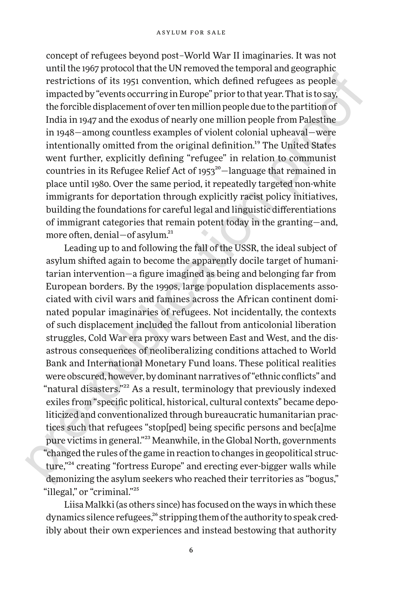concept of refugees beyond post–World War II imaginaries. It was not until the 1967 protocol that the UN removed the temporal and geographic restrictions of its 1951 convention, which defined refugees as people impacted by "events occurring in Europe" prior to that year. That is to say, the forcible displacement of over ten million people due to the partition of India in 1947 and the exodus of nearly one million people from Palestine in 1948—among countless examples of violent colonial upheaval—were intentionally omitted from the original definition.<sup>19</sup> The United States went further, explicitly defining "refugee" in relation to communist countries in its Refugee Relief Act of  $1953^{20}$ —language that remained in place until 1980. Over the same period, it repeatedly targeted non-white immigrants for deportation through explicitly racist policy initiatives, building the foundations for careful legal and linguistic differentiations of immigrant categories that remain potent today in the granting—and, more often, denial—of asylum. $21$ 

entatively reents occurrent to the most of the sign convention, which defined refugees as people<br>impacted by reents occurring in Europe<sup>n</sup> prior to that year. That is to say,<br>the forcible displacement of over ten million p Leading up to and following the fall of the USSR, the ideal subject of asylum shifted again to become the apparently docile target of humanitarian intervention—a figure imagined as being and belonging far from European borders. By the 1990s, large population displacements associated with civil wars and famines across the African continent dominated popular imaginaries of refugees. Not incidentally, the contexts of such displacement included the fallout from anticolonial liberation struggles, Cold War era proxy wars between East and West, and the disastrous consequences of neoliberalizing conditions attached to World Bank and International Monetary Fund loans. These political realities were obscured, however, by dominant narratives of "ethnic conflicts" and "natural disasters."<sup>22</sup> As a result, terminology that previously indexed exiles from "specific political, historical, cultural contexts" became depoliticized and conventionalized through bureaucratic humanitarian practices such that refugees "stop[ped] being specific persons and bec[a]me pure victims in general."²³ Meanwhile, in the Global North, governments "changed the rules of the game in reaction to changes in geopolitical structure,"<sup>24</sup> creating "fortress Europe" and erecting ever-bigger walls while demonizing the asylum seekers who reached their territories as "bogus," "illegal," or "criminal."<sup>25</sup>

Liisa Malkki (as others since) has focused on the ways in which these dynamics silence refugees,<sup>26</sup> stripping them of the authority to speak credibly about their own experiences and instead bestowing that authority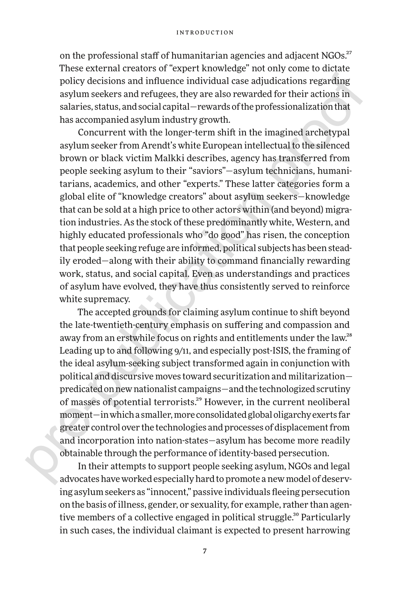on the professional staff of humanitarian agencies and adjacent NGOs.<sup>27</sup> These external creators of "expert knowledge" not only come to dictate policy decisions and influence individual case adjudications regarding asylum seekers and refugees, they are also rewarded for their actions in salaries, status, and social capital—rewards of the professionalization that has accompanied asylum industry growth.

mente can constant of experimentations and influence individual case adjudications regarding<br>asylum seekers and refugees, they are also rewarded for their actions in<br>sparking asylum industry growth.<br>
Has accompanied asylu Concurrent with the longer-term shift in the imagined archetypal asylum seeker from Arendt's white European intellectual to the silenced brown or black victim Malkki describes, agency has transferred from people seeking asylum to their "saviors"—asylum technicians, humanitarians, academics, and other "experts." These latter categories form a global elite of "knowledge creators" about asylum seekers—knowledge that can be sold at a high price to other actors within (and beyond) migration industries. As the stock of these predominantly white, Western, and highly educated professionals who "do good" has risen, the conception that people seeking refuge are informed, political subjects has been steadily eroded—along with their ability to command financially rewarding work, status, and social capital. Even as understandings and practices of asylum have evolved, they have thus consistently served to reinforce white supremacy.

The accepted grounds for claiming asylum continue to shift beyond the late-twentieth-century emphasis on suffering and compassion and away from an erstwhile focus on rights and entitlements under the law.<sup>28</sup> Leading up to and following 9/11, and especially post-ISIS, the framing of the ideal asylum-seeking subject transformed again in conjunction with political and discursive moves toward securitization and militarization predicated on new nationalist campaigns—and the technologized scrutiny of masses of potential terrorists.<sup>29</sup> However, in the current neoliberal moment—in which a smaller, more consolidated global oligarchy exerts far greater control over the technologies and processes of displacement from and incorporation into nation-states—asylum has become more readily obtainable through the performance of identity-based persecution.

In their attempts to support people seeking asylum, NGOs and legal advocates have worked especially hard to promote a new model of deserving asylum seekers as "innocent," passive individuals fleeing persecution on the basis of illness, gender, or sexuality, for example, rather than agentive members of a collective engaged in political struggle.<sup>30</sup> Particularly in such cases, the individual claimant is expected to present harrowing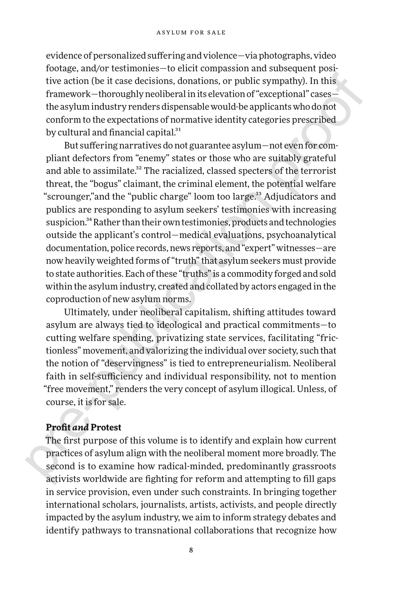evidence of personalized suffering and violence—via photographs, video footage, and/or testimonies—to elicit compassion and subsequent positive action (be it case decisions, donations, or public sympathy). In this framework—thoroughly neoliberal in its elevation of "exceptional" cases the asylum industry renders dispensable would-be applicants who do not conform to the expectations of normative identity categories prescribed by cultural and financial capital.<sup>31</sup>

by a secure throughly meditions, donations, or public sympathy). In this framework--throughly mediberal in its elevation (for segure) three asylum industry renders is gensaale would-be applicants who do not conform to the But suffering narratives do not guarantee asylum—not even for compliant defectors from "enemy" states or those who are suitably grateful and able to assimilate.<sup>32</sup> The racialized, classed specters of the terrorist threat, the "bogus" claimant, the criminal element, the potential welfare "scrounger," and the "public charge" loom too large.<sup>33</sup> Adjudicators and publics are responding to asylum seekers' testimonies with increasing suspicion.<sup>34</sup> Rather than their own testimonies, products and technologies outside the applicant's control—medical evaluations, psychoanalytical documentation, police records, news reports, and "expert" witnesses—are now heavily weighted forms of "truth" that asylum seekers must provide to state authorities*.* Each of these "truths" is a commodity forged and sold within the asylum industry, created and collated by actors engaged in the coproduction of new asylum norms.

Ultimately, under neoliberal capitalism, shifting attitudes toward asylum are always tied to ideological and practical commitments—to cutting welfare spending, privatizing state services, facilitating "frictionless" movement, and valorizing the individual over society, such that the notion of "deservingness" is tied to entrepreneurialism. Neoliberal faith in self-sufficiency and individual responsibility, not to mention "free movement," renders the very concept of asylum illogical. Unless, of course, it is for sale.

## **Profit** *and* **Protest**

The first purpose of this volume is to identify and explain how current practices of asylum align with the neoliberal moment more broadly. The second is to examine how radical-minded, predominantly grassroots activists worldwide are fighting for reform and attempting to fill gaps in service provision, even under such constraints. In bringing together international scholars, journalists, artists, activists, and people directly impacted by the asylum industry, we aim to inform strategy debates and identify pathways to transnational collaborations that recognize how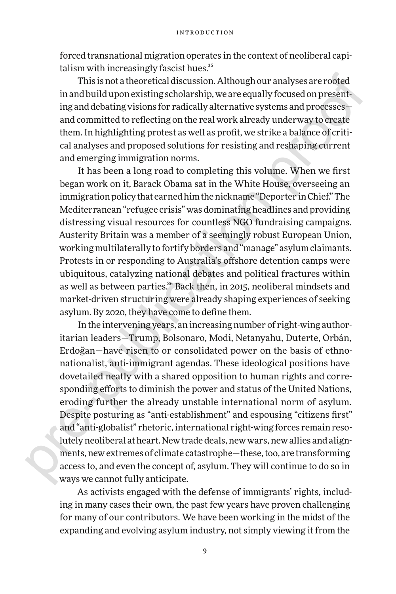forced transnational migration operates in the context of neoliberal capitalism with increasingly fascist hues.<sup>35</sup>

This is not a theoretical discussion. Although our analyses are rooted in and build upon existing scholarship, we are equally focused on presenting and debating visions for radically alternative systems and processes and committed to reflecting on the real work already underway to create them. In highlighting protest as well as profit, we strike a balance of critical analyses and proposed solutions for resisting and reshaping current and emerging immigration norms.

It has been a long road to completing this volume. When we first began work on it, Barack Obama sat in the White House, overseeing an immigration policy that earned him the nickname "Deporter in Chief." The Mediterranean "refugee crisis" was dominating headlines and providing distressing visual resources for countless NGO fundraising campaigns. Austerity Britain was a member of a seemingly robust European Union, working multilaterally to fortify borders and "manage" asylum claimants. Protests in or responding to Australia's offshore detention camps were ubiquitous, catalyzing national debates and political fractures within as well as between parties.<sup>36</sup> Back then, in 2015, neoliberal mindsets and market-driven structuring were already shaping experiences of seeking asylum. By 2020, they have come to define them.

man build uppn exitains changely material manageds are rooted in and build uppn exiting scholarship, we are equally focused on presenting and debating visions for radically alternative systems and processesting and colonit In the intervening years, an increasing number of right-wing authoritarian leaders—Trump, Bolsonaro, Modi, Netanyahu, Duterte, Orbán, Erdoğan—have risen to or consolidated power on the basis of ethnonationalist, anti-immigrant agendas. These ideological positions have dovetailed neatly with a shared opposition to human rights and corresponding efforts to diminish the power and status of the United Nations, eroding further the already unstable international norm of asylum. Despite posturing as "anti-establishment" and espousing "citizens first" and "anti-globalist" rhetoric, international right-wing forces remain resolutely neoliberal at heart. New trade deals, new wars, new allies and alignments, new extremes of climate catastrophe—these, too, are transforming access to, and even the concept of, asylum. They will continue to do so in ways we cannot fully anticipate.

As activists engaged with the defense of immigrants' rights, including in many cases their own, the past few years have proven challenging for many of our contributors. We have been working in the midst of the expanding and evolving asylum industry, not simply viewing it from the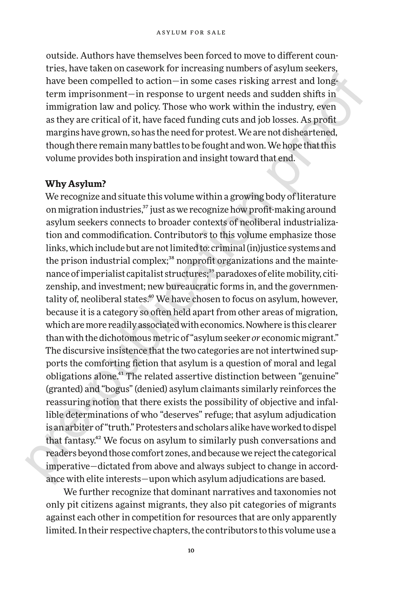outside. Authors have themselves been forced to move to different countries, have taken on casework for increasing numbers of asylum seekers, have been compelled to action—in some cases risking arrest and longterm imprisonment—in response to urgent needs and sudden shifts in immigration law and policy. Those who work within the industry, even as they are critical of it, have faced funding cuts and job losses. As profit margins have grown, so has the need for protest. We are not disheartened, though there remain many battles to be fought and won. We hope that this volume provides both inspiration and insight toward that end.

#### **Why Asylum?**

From imprisomment—in response to urge that and such a states and solar<br>team we been comprelled to action—in some cases risking arrest and long-<br>term imprisomment—in response to urgent needs and suden shifts in<br>immigration We recognize and situate this volume within a growing body of literature on migration industries,<sup>37</sup> just as we recognize how profit-making around asylum seekers connects to broader contexts of neoliberal industrialization and commodification. Contributors to this volume emphasize those links, which include but are not limited to: criminal (in)justice systems and the prison industrial complex;<sup>38</sup> nonprofit organizations and the maintenance of imperialist capitalist structures;<sup>39</sup> paradoxes of elite mobility, citizenship, and investment; new bureaucratic forms in, and the governmentality of, neoliberal states.<sup>40</sup> We have chosen to focus on asylum, however, because it is a category so often held apart from other areas of migration, which are more readily associated with economics. Nowhere is this clearer than with the dichotomous metric of "asylum seeker *or* economic migrant." The discursive insistence that the two categories are not intertwined supports the comforting fiction that asylum is a question of moral and legal obligations alone.<sup>41</sup> The related assertive distinction between "genuine" (granted) and "bogus" (denied) asylum claimants similarly reinforces the reassuring notion that there exists the possibility of objective and infallible determinations of who "deserves" refuge; that asylum adjudication is an arbiter of "truth." Protesters and scholars alike have worked to dispel that fantasy.<sup>42</sup> We focus on asylum to similarly push conversations and readers beyond those comfort zones, and because we reject the categorical imperative—dictated from above and always subject to change in accordance with elite interests—upon which asylum adjudications are based.

We further recognize that dominant narratives and taxonomies not only pit citizens against migrants, they also pit categories of migrants against each other in competition for resources that are only apparently limited. In their respective chapters, the contributors to this volume use a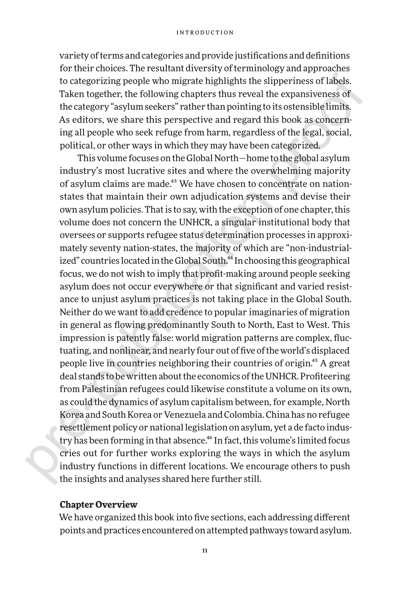#### **INTRODUCTION**

variety of terms and categories and provide justifications and definitions for their choices. The resultant diversity of terminology and approaches to categorizing people who migrate highlights the slipperiness of labels. Taken together, the following chapters thus reveal the expansiveness of the category "asylum seekers" rather than pointing to its ostensible limits. As editors, we share this perspective and regard this book as concerning all people who seek refuge from harm, regardless of the legal, social, political, or other ways in which they may have been categorized.

to the conservation of the following daplies that in the conservation of the categorizing prople who migrate highlights the slipperiness of labels, Take the equestry, the following daplies that be equal the equality the e This volume focuses on the Global North—home to the global asylum industry's most lucrative sites and where the overwhelming majority of asylum claims are made.<sup>43</sup> We have chosen to concentrate on nationstates that maintain their own adjudication systems and devise their own asylum policies. That is to say, with the exception of one chapter, this volume does not concern the UNHCR, a singular institutional body that oversees or supports refugee status determination processes in approximately seventy nation-states, the majority of which are "non-industrialized" countries located in the Global South.<sup>44</sup> In choosing this geographical focus, we do not wish to imply that profit-making around people seeking asylum does not occur everywhere or that significant and varied resistance to unjust asylum practices is not taking place in the Global South. Neither do we want to add credence to popular imaginaries of migration in general as flowing predominantly South to North, East to West. This impression is patently false: world migration patterns are complex, fluctuating, and nonlinear, and nearly four out of five of the world's displaced people live in countries neighboring their countries of origin.<sup>45</sup> A great deal stands to be written about the economics of the UNHCR. Profiteering from Palestinian refugees could likewise constitute a volume on its own, as could the dynamics of asylum capitalism between, for example, North Korea and South Korea or Venezuela and Colombia. China has no refugee resettlement policy or national legislation on asylum, yet a de facto industry has been forming in that absence.<sup>46</sup> In fact, this volume's limited focus cries out for further works exploring the ways in which the asylum industry functions in different locations. We encourage others to push the insights and analyses shared here further still.

### **Chapter Overview**

We have organized this book into five sections, each addressing different points and practices encountered on attempted pathways toward asylum.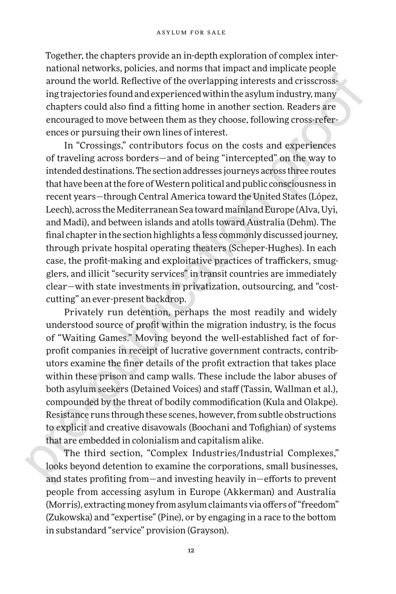Together, the chapters provide an in-depth exploration of complex international networks, policies, and norms that impact and implicate people around the world. Reflective of the overlapping interests and crisscrossing trajectories found and experienced within the asylum industry, many chapters could also find a fitting home in another section. Readers are encouraged to move between them as they choose, following cross-references or pursuing their own lines of interest.

muono method and experimentation in the well scheen and the world, Reflective of the overlapping interests and criss<br>cross-<br>ingrigications for overlapping interests and crisscross-<br>preparent whold. Reflective of the overl In "Crossings," contributors focus on the costs and experiences of traveling across borders—and of being "intercepted" on the way to intended destinations. The section addresses journeys across three routes that have been at the fore of Western political and public consciousness in recent years—through Central America toward the United States (López, Leech), across the Mediterranean Sea toward mainland Europe (Alva, Uyi, and Madi), and between islands and atolls toward Australia (Dehm). The final chapter in the section highlights a less commonly discussed journey, through private hospital operating theaters (Scheper-Hughes). In each case, the profit-making and exploitative practices of traffickers, smugglers, and illicit "security services" in transit countries are immediately clear—with state investments in privatization, outsourcing, and "costcutting" an ever-present backdrop.

Privately run detention, perhaps the most readily and widely understood source of profit within the migration industry, is the focus of "Waiting Games." Moving beyond the well-established fact of forprofit companies in receipt of lucrative government contracts, contributors examine the finer details of the profit extraction that takes place within these prison and camp walls. These include the labor abuses of both asylum seekers (Detained Voices) and staff (Tassin, Wallman et al.), compounded by the threat of bodily commodification (Kula and Olakpe). Resistance runs through these scenes, however, from subtle obstructions to explicit and creative disavowals (Boochani and Tofighian) of systems that are embedded in colonialism and capitalism alike.

The third section, "Complex Industries/Industrial Complexes," looks beyond detention to examine the corporations, small businesses, and states profiting from—and investing heavily in—efforts to prevent people from accessing asylum in Europe (Akkerman) and Australia (Morris), extracting money from asylum claimants via offers of "freedom" (Zukowska) and "expertise" (Pine), or by engaging in a race to the bottom in substandard "service" provision (Grayson).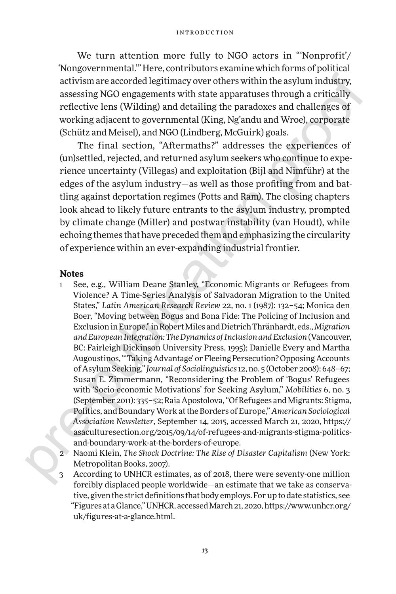We turn attention more fully to NGO actors in "'Nonprofit'/ 'Nongovernmental.'" Here, contributors examine which forms of political activism are accorded legitimacy over others within the asylum industry, assessing NGO engagements with state apparatuses through a critically reflective lens (Wilding) and detailing the paradoxes and challenges of working adjacent to governmental (King, Ng'andu and Wroe), corporate (Schütz and Meisel), and NGO (Lindberg, McGuirk) goals.

The final section, "Aftermaths?" addresses the experiences of (un)settled, rejected, and returned asylum seekers who continue to experience uncertainty (Villegas) and exploitation (Bijl and Nimführ) at the edges of the asylum industry—as well as those profiting from and battling against deportation regimes (Potts and Ram). The closing chapters look ahead to likely future entrants to the asylum industry, prompted by climate change (Miller) and postwar instability (van Houdt), while echoing themes that have preceded them and emphasizing the circularity of experience within an ever-expanding industrial frontier.

#### **Notes**

- rouse<br>
and the sylum and the control ones within the asylum industry,<br>
activism are accorded legitimacy over others within the asylum industry,<br>
restective lens (Wilding) and detailing the paradoxes and challenges of<br>
ver 1 See, e.g., William Deane Stanley, "Economic Migrants or Refugees from Violence? A Time-Series Analysis of Salvadoran Migration to the United States," *Latin American Research Review* 22, no. 1 (1987): 132–54; Monica den Boer, "Moving between Bogus and Bona Fide: The Policing of Inclusion and Exclusion in Europe," in Robert Miles and Dietrich Thränhardt, eds., *Migration and European Integration: The Dynamics of Inclusion and Exclusion* (Vancouver, BC: Fairleigh Dickinson University Press, 1995); Danielle Every and Martha Augoustinos, "'Taking Advantage' or Fleeing Persecution? Opposing Accounts of Asylum Seeking," *Journal of Sociolinguistics* 12, no. 5 (October 2008): 648–67; Susan E. Zimmermann, "Reconsidering the Problem of 'Bogus' Refugees with 'Socio-economic Motivations' for Seeking Asylum," *Mobilities* 6, no. 3 (September 2011): 335–52; Raia Apostolova, "Of Refugees and Migrants: Stigma, Politics, and Boundary Work at the Borders of Europe," *American Sociological Association Newsletter*, September 14, 2015, accessed March 21, 2020, https:// asaculturesection.org/2015/09/14/of-refugees-and-migrants-stigma-politicsand-boundary-work-at-the-borders-of-europe.
	- 2 Naomi Klein, *The Shock Doctrine: The Rise of Disaster Capitalism* (New York: Metropolitan Books, 2007).

According to UNHCR estimates, as of 2018, there were seventy-one million forcibly displaced people worldwide—an estimate that we take as conservative, given the strict definitions that body employs. For up to date statistics, see "Figures at a Glance," UNHCR, accessed March 21, 2020, https://www.unhcr.org/ uk/figures-at-a-glance.html.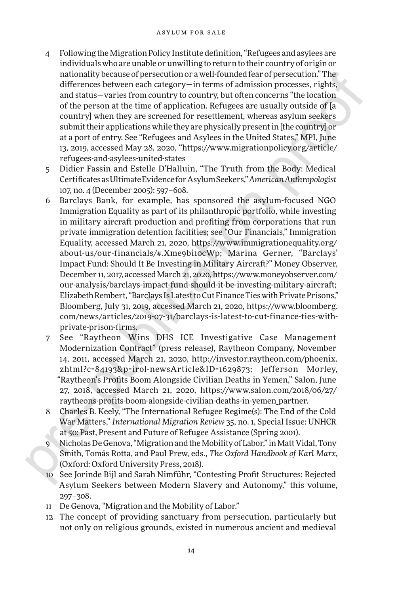- 4 Following the Migration Policy Institute definition, "Refugees and asylees are individuals who are unable or unwilling to return to their country of origin or nationality because of persecution or a well-founded fear of persecution." The differences between each category—in terms of admission processes, rights, and status—varies from country to country, but often concerns "the location of the person at the time of application. Refugees are usually outside of [a country] when they are screened for resettlement, whereas asylum seekers submit their applications while they are physically present in [the country] or at a port of entry. See "Refugees and Asylees in the United States," MPI, June 13, 2019, accessed May 28, 2020, "https://www.migrationpolicy.org/article/ refugees-and-asylees-united-states
- 5 Didier Fassin and Estelle D'Halluin, "The Truth from the Body: Medical Certificates as Ultimate Evidence for Asylum Seekers," *American Anthropologist* 107, no. 4 (December 2005): 597–608.
- ntimality because of persecution or awell-founded fear of persecution. The distance in the states and states and states and the person in the time of the person at the time of splication. Refugees are usually outside of a 6 Barclays Bank, for example, has sponsored the asylum-focused NGO Immigration Equality as part of its philanthropic portfolio, while investing in military aircraft production and profiting from corporations that run private immigration detention facilities; see "Our Financials," Immigration Equality, accessed March 21, 2020, https://www.immigrationequality.org/ about-us/our-financials/#.Xme9bi10cWp; Marina Gerner, "Barclays' Impact Fund: Should It Be Investing in Military Aircraft?" Money Observer, December 11, 2017, accessed March 21, 2020, https://www.moneyobserver.com/ our-analysis/barclays-impact-fund-should-it-be-investing-military-aircraft; Elizabeth Rembert, "Barclays Is Latest to Cut Finance Ties with Private Prisons," Bloomberg, July 31, 2019, accessed March 21, 2020, https://www.bloomberg. com/news/articles/2019-07-31/barclays-is-latest-to-cut-finance-ties-withprivate-prison-firms.
	- 7 See "Raytheon Wins DHS ICE Investigative Case Management Modernization Contract" (press release), Raytheon Company, November 14, 2011, accessed March 21, 2020, http://investor.raytheon.com/phoenix. zhtml?c=84193&p=irol-newsArticle&ID=1629873; Jefferson Morley, "Raytheon's Profits Boom Alongside Civilian Deaths in Yemen," Salon, June 27, 2018, accessed March 21, 2020, https://www.salon.com/2018/06/27/ raytheons-profits-boom-alongside-civilian-deaths-in-yemen\_partner.
	- 8 Charles B. Keely, "The International Refugee Regime(s): The End of the Cold War Matters," *International Migration Review* 35, no. 1, Special Issue: UNHCR at 50: Past, Present and Future of Refugee Assistance (Spring 2001).
	- 9 Nicholas De Genova, "Migration and the Mobility of Labor," in Matt Vidal, Tony Smith, Tomás Rotta, and Paul Prew, eds., *The Oxford Handbook of Karl Marx*, (Oxford: Oxford University Press, 2018).
	- 10 See Jorinde Bijl and Sarah Nimführ, "Contesting Profit Structures: Rejected Asylum Seekers between Modern Slavery and Autonomy," this volume, 297–308.
	- 11 De Genova, "Migration and the Mobility of Labor."
	- 12 The concept of providing sanctuary from persecution, particularly but not only on religious grounds, existed in numerous ancient and medieval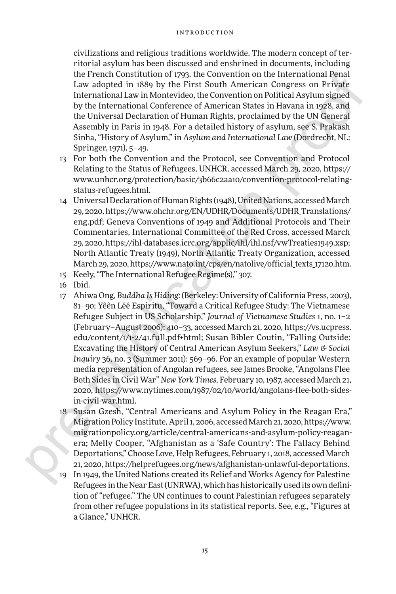#### **INTRODUCTION**

civilizations and religious traditions worldwide. The modern concept of territorial asylum has been discussed and enshrined in documents, including the French Constitution of 1793, the Convention on the International Penal Law adopted in 1889 by the First South American Congress on Private International Law in Montevideo, the Convention on Political Asylum signed by the International Conference of American States in Havana in 1928, and the Universal Declaration of Human Rights, proclaimed by the UN General Assembly in Paris in 1948. For a detailed history of asylum, see S. Prakash Sinha, "History of Asylum," in *Asylum and International Law* (Dordrecht, NL: Springer, 1971), 5–49.

- 13 For both the Convention and the Protocol, see Convention and Protocol Relating to the Status of Refugees, UNHCR, accessed March 29, 2020, https:// www.unhcr.org/protection/basic/3b66c2aa10/convention-protocol-relatingstatus-refugees.html.
- 14 Universal Declaration of Human Rights (1948), United Nations, accessed March 29, 2020, https://www.ohchr.org/EN/UDHR/Documents/UDHR\_Translations/ eng.pdf; Geneva Conventions of 1949 and Additional Protocols and Their Commentaries, International Committee of the Red Cross, accessed March 29, 2020, https://ihl-databases.icrc.org/applic/ihl/ihl.nsf/vwTreaties1949.xsp; North Atlantic Treaty (1949), North Atlantic Treaty Organization, accessed March 29, 2020, https://www.nato.int/cps/en/natolive/official texts 17120.htm.
- 15 Keely, "The International Refugee Regime(s)," 307.
- 16 Ibid.
- the French Constitution of 1794, the Convention on the International Penal<br>Is aw adopted in 1889 by the First South American Congress on Private<br>
International Law in Montevideo, the Convention on Political Asylum signed<br>T 17 Ahiwa Ong, *Buddha Is Hiding:* (Berkeley: University of California Press, 2003), 81–90; Yêên Lêê Espiritu, "Toward a Critical Refugee Study: The Vietnamese Refugee Subject in US Scholarship," *Journal of Vietnamese Studies* 1, no. 1–2 (February–August 2006): 410–33, accessed March 21, 2020, https://vs.ucpress. edu/content/1/1-2/41.full.pdf+html; Susan Bibler Coutin, "Falling Outside: Excavating the History of Central American Asylum Seekers," *Law & Social Inquiry* 36, no. 3 (Summer 2011): 569–96. For an example of popular Western media representation of Angolan refugees, see James Brooke, "Angolans Flee Both Sides in Civil War" *New York Times,* February 10, 1987, accessed March 21, 2020, https://www.nytimes.com/1987/02/10/world/angolans-flee-both-sidesin-civil-war.html.
	- 18 Susan Gzesh, "Central Americans and Asylum Policy in the Reagan Era," Migration Policy Institute, April 1, 2006, accessed March 21, 2020, https://www. migrationpolicy.org/article/central-americans-and-asylum-policy-reaganera; Melly Cooper, "Afghanistan as a 'Safe Country': The Fallacy Behind Deportations," Choose Love, Help Refugees, February 1, 2018, accessed March 21, 2020, https://helprefugees.org/news/afghanistan-unlawful-deportations.
	- 19 In 1949, the United Nations created its Relief and Works Agency for Palestine Refugees in the Near East (UNRWA), which has historically used its own definition of "refugee." The UN continues to count Palestinian refugees separately from other refugee populations in its statistical reports. See, e.g., "Figures at a Glance," UNHCR.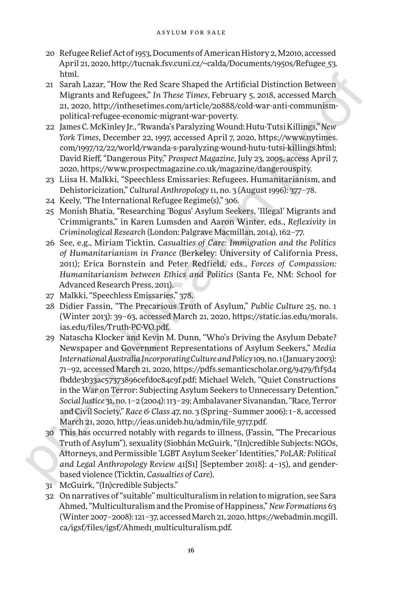- 20 Refugee Relief Act of 1953, Documents of American History 2, M2010, accessed April 21, 2020, http://tucnak.fsv.cuni.cz/~calda/Documents/1950s/Refugee\_53. html.
- 21 Sarah Lazar, "How the Red Scare Shaped the Artificial Distinction Between Migrants and Refugees," *In These Times*, February 5, 2018, accessed March 21, 2020, http://inthesetimes.com/article/20888/cold-war-anti-communismpolitical-refugee-economic-migrant-war-poverty.
- 22 James C. McKinley Jr., "Rwanda's Paralyzing Wound: Hutu-Tutsi Killings," *New York Times*, December 22, 1997, accessed April 7, 2020, https://www.nytimes. com/1997/12/22/world/rwanda-s-paralyzing-wound-hutu-tutsi-killings.html; David Rieff, "Dangerous Pity," *Prospect Magazine*, July 23, 2005, access April 7, 2020, https://www.prospectmagazine.co.uk/magazine/dangerouspity.
- 23 Liisa H. Malkki, "Speechless Emissaries: Refugees, Humanitarianism, and Dehistoricization," *Cultural Anthropology* 11, no. 3 (August 1996): 377–78.
- 24 Keely, "The International Refugee Regime(s)," 306.
- 25 Monish Bhatia, "Researching 'Bogus' Asylum Seekers, 'Illegal' Migrants and 'Crimmigrants," in Karen Lumsden and Aaron Winter, eds., *Re!exivity in Criminological Research* (London: Palgrave Macmillan, 2014), 162–77.
- 26 See, e.g., Miriam Ticktin, *Casualties of Care: Immigration and the Politics of Humanitarianism in France* (Berkeley: University of California Press, 2011); Erica Bornstein and Peter Redfield, eds., *Forces of Compassion: Humanitarianism between Ethics and Politics* (Santa Fe, NM: School for Advanced Research Press, 2011).
- 27 Malkki, "Speechless Emissaries," 378.
- 28 Didier Fassin, "The Precarious Truth of Asylum," *Public Culture* 25, no. 1 (Winter 2013): 39–63, accessed March 21, 2020, https://static.ias.edu/morals. ias.edu/files/Truth-PC-VO.pdf.
- 1 mln<br>
2 mln<br>
2 mln<br>
2 mln<br>
2 mln<br>
2 mln<br>
2 mln<br>
2 mln<br>
2 mln<br>
2 mln<br>
2 mln<br>
2 mln<br>
2 mln<br>
2 mln<br>
2 mln<br>
2 mln<br>
2 mln<br>
2 mln<br>
2 mln<br>
2 mln<br>
2 mln<br>
2 mln<br>
2 mln<br>
2 mln<br>
2 mln<br>
2 mln<br>
2 mln<br>
2 mln<br>
2 mln<br>
2 mln<br>
2 mln<br>
2 ml 29 Natascha Klocker and Kevin M. Dunn, "Who's Driving the Asylum Debate? Newspaper and Government Representations of Asylum Seekers," *Media International Australia Incorporating Culture and Policy*109, no. 1 (January 2003): 71–92, accessed March 21, 2020, https://pdfs.semanticscholar.org/9479/f1f5d4 fbdde3b33ac57373896cefd0c84c9f.pdf; Michael Welch, "Quiet Constructions in the War on Terror: Subjecting Asylum Seekers to Unnecessary Detention," *Social Justice* 31, no. 1–2 (2004): 113–29; Ambalavaner Sivanandan, "Race, Terror and Civil Society," *Race & Class* 47, no. 3 (Spring–Summer 2006): 1–8, accessed March 21, 2020, http://ieas.unideb.hu/admin/file\_9717.pdf.
	- 30 This has occurred notably with regards to illness, (Fassin, "The Precarious Truth of Asylum"), sexuality (Siobhán McGuirk, "(In)credible Subjects: NGOs, Attorneys, and Permissible 'LGBT Asylum Seeker' Identities," *PoLAR: Political and Legal Anthropology Review* 41[S1] [September 2018]: 4–15), and genderbased violence (Ticktin, *Casualties of Care*).
	- 31 McGuirk, "(In)credible Subjects."
	- 32 On narratives of "suitable" multiculturalism in relation to migration, see Sara Ahmed, "Multiculturalism and the Promise of Happiness," *New Formations* 63 (Winter 2007–2008): 121–37, accessed March 21, 2020, https://webadmin.mcgill. ca/igsf/files/igsf/Ahmed1\_multiculturalism.pdf.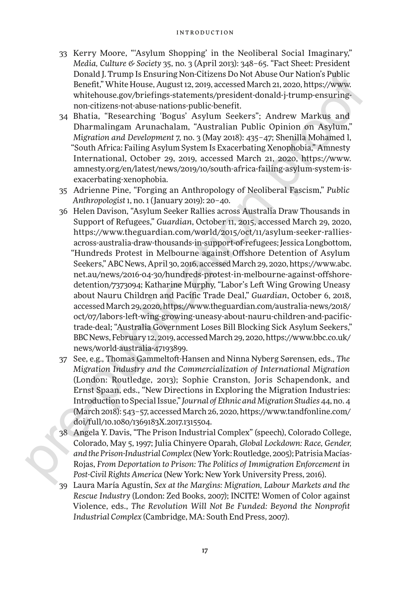- 33 Kerry Moore, "'Asylum Shopping' in the Neoliberal Social Imaginary," *Media, Culture & Society* 35, no. 3 (April 2013): 348–65. "Fact Sheet: President Donald J. Trump Is Ensuring Non-Citizens Do Not Abuse Our Nation's Public Benefit," White House, August 12, 2019, accessed March 21, 2020, https://www. whitehouse.gov/briefings-statements/president-donald-j-trump-ensuringnon-citizens-not-abuse-nations-public-benefit.
- 34 Bhatia, "Researching 'Bogus' Asylum Seekers"; Andrew Markus and Dharmalingam Arunachalam, "Australian Public Opinion on Asylum," *Migration and Development* 7, no. 3 (May 2018): 435–47; Shenilla Mohamed l, "South Africa: Failing Asylum System Is Exacerbating Xenophobia," Amnesty International, October 29, 2019, accessed March 21, 2020, https://www. amnesty.org/en/latest/news/2019/10/south-africa-failing-asylum-system-isexacerbating-xenophobia.
- 35 Adrienne Pine, "Forging an Anthropology of Neoliberal Fascism," *Public Anthropologist* 1, no. 1 (January 2019): 20–40.
- Donald J. Trump Is Ensuring Noro-Citizens Do Mot Abuse Our Nations Public Schemes (Northernous gave the Microsofte Microsofte and the Microsofte more citizens and the microsofte more citizens and the microsofte more citiz 36 Helen Davison, "Asylum Seeker Rallies across Australia Draw Thousands in Support of Refugees," *Guardian*, October 11, 2015, accessed March 29, 2020, https://www.theguardian.com/world/2015/oct/11/asylum-seeker-ralliesacross-australia-draw-thousands-in-support-of-refugees; Jessica Longbottom, "Hundreds Protest in Melbourne against Offshore Detention of Asylum Seekers," ABC News, April 30, 2016, accessed March 29, 2020, https://www.abc. net.au/news/2016-04-30/hundreds-protest-in-melbourne-against-offshoredetention/7373094; Katharine Murphy, "Labor's Left Wing Growing Uneasy about Nauru Children and Pacific Trade Deal," *Guardian*, October 6, 2018, accessed March 29, 2020, https://www.theguardian.com/australia-news/2018/ oct/07/labors-left-wing-growing-uneasy-about-nauru-children-and-pacifictrade-deal; "Australia Government Loses Bill Blocking Sick Asylum Seekers," BBC News, February 12, 2019, accessed March 29, 2020, https://www.bbc.co.uk/ news/world-australia-47193899.
	- 37 See, e.g., Thomas Gammeltoft-Hansen and Ninna Nyberg Sørensen, eds., *The Migration Industry and the Commercialization of International Migration* (London: Routledge, 2013); Sophie Cranston, Joris Schapendonk, and Ernst Spaan, eds., "New Directions in Exploring the Migration Industries: Introduction to Special Issue," *Journal of Ethnic and Migration Studies* 44, no. 4 (March 2018): 543–57, accessed March 26, 2020, https://www.tandfonline.com/ doi/full/10.1080/1369183X.2017.1315504.
	- 38 Angela Y. Davis, "The Prison Industrial Complex" (speech), Colorado College, Colorado, May 5, 1997; Julia Chinyere Oparah, *Global Lockdown: Race, Gender, and the Prison-Industrial Complex* (New York: Routledge, 2005); Patrisia Macías-Rojas, *From Deportation to Prison: The Politics of Immigration Enforcement in Post-Civil Rights America* (New York: New York University Press, 2016).
	- 39 Laura María Agustín, *Sex at the Margins: Migration, Labour Markets and the Rescue Industry* (London: Zed Books, 2007); INCITE! Women of Color against Violence, eds., The Revolution Will Not Be Funded: Beyond the Nonprofit *Industrial Complex* (Cambridge, MA: South End Press, 2007).